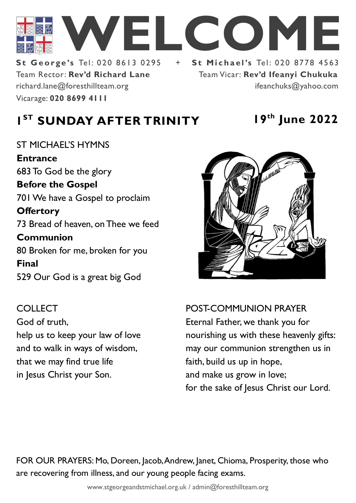

Team Rector: **Rev'd Richard Lane St George's Tel: 020 8613 0295** Vicarage: **020 8699 4111**  richard.lane@foresthillteam.org ifeanchuks@yahoo.com

# Team Vicar: **Rev'd Ifeanyi Chukuka**

# **1 ST SUNDAY AFTER TRINITY 19th June 2022**

## ST MICHAEL'S HYMNS **Entrance** 683 To God be the glory **Before the Gospel**  701 We have a Gospel to proclaim **Offertory**  73 Bread of heaven, on Thee we feed **Communion**  80 Broken for me, broken for you **Final**  529 Our God is a great big God

COLLECT God of truth, help us to keep your law of love and to walk in ways of wisdom, that we may find true life in Jesus Christ your Son.



# POST-COMMUNION PRAYER Eternal Father, we thank you for nourishing us with these heavenly gifts: may our communion strengthen us in faith, build us up in hope,

and make us grow in love; for the sake of Jesus Christ our Lord.

FOR OUR PRAYERS: Mo, Doreen, Jacob, Andrew, Janet, Chioma, Prosperity, those who are recovering from illness, and our young people facing exams.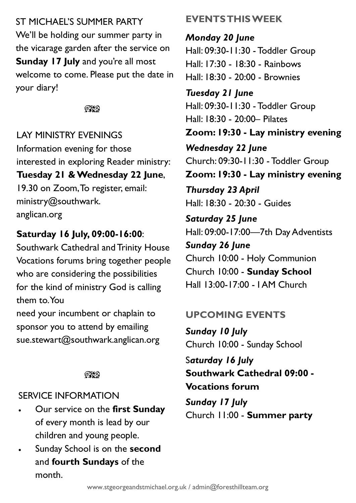ST MICHAEL'S SUMMER PARTY We'll be holding our summer party in the vicarage garden after the service on **Sunday 17 July and you're all most** welcome to come. Please put the date in your diary!

#### ೧೪೧

LAY MINISTRY EVENINGS Information evening for those interested in exploring Reader ministry: **Tuesday 21 & Wednesday 22 June**, 19.30 on Zoom, To register, email: ministry@southwark. anglican.org

#### **Saturday 16 July, 09:00-16:00**:

Southwark Cathedral and Trinity House Vocations forums bring together people who are considering the possibilities for the kind of ministry God is calling them to. You

need your incumbent or chaplain to sponsor you to attend by emailing sue.stewart@southwark.anglican.org

#### $\mathbb{C}\mathbb{C}$

#### SERVICE INFORMATION

- Our service on the **first Sunday** of every month is lead by our children and young people.
- Sunday School is on the **second**  and **fourth Sundays** of the month.

### **EVENTS THIS WEEK**

*Monday 20 June* Hall: 09:30-11:30 - Toddler Group Hall: 17:30 - 18:30 - Rainbows Hall: 18:30 - 20:00 - Brownies

*Tuesday 21 June* Hall: 09:30-11:30 - Toddler Group Hall: 18:30 - 20:00– Pilates **Zoom: 19:30 - Lay ministry evening** *Wednesday 22 June* Church: 09:30-11:30 - Toddler Group **Zoom: 19:30 - Lay ministry evening**

*Thursday 23 April* Hall: 18:30 - 20:30 - Guides

*Saturday 25 June* Hall: 09:00-17:00—7th Day Adventists *Sunday 26 June*

Church 10:00 - Holy Communion Church 10:00 - **Sunday School** Hall 13:00-17:00 - I AM Church

#### **UPCOMING EVENTS**

*Sunday 10 July* Church 10:00 - Sunday School

S*aturday 16 July* **Southwark Cathedral 09:00 - Vocations forum**

*Sunday 17 July* Church 11:00 - **Summer party**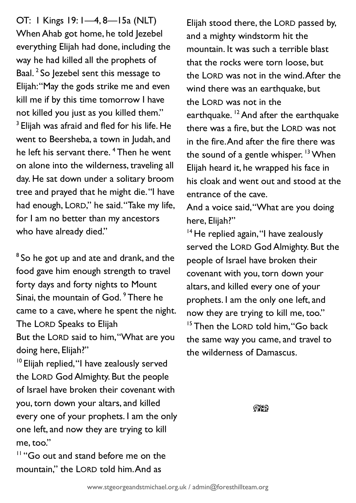OT: 1 Kings 19: 1—4, 8—15a (NLT) When Ahab got home, he told Jezebel everything Elijah had done, including the way he had killed all the prophets of Baal.<sup>2</sup> So Jezebel sent this message to Elijah: "May the gods strike me and even kill me if by this time tomorrow I have not killed you just as you killed them."  $^3$  Elijah was afraid and fled for his life. He went to Beersheba, a town in Judah, and he left his servant there.<sup>4</sup> Then he went on alone into the wilderness, traveling all day. He sat down under a solitary broom tree and prayed that he might die. "I have had enough, LORD," he said. "Take my life, for I am no better than my ancestors who have already died."

 $8$  So he got up and ate and drank, and the food gave him enough strength to travel forty days and forty nights to Mount Sinai, the mountain of God. <sup>9</sup> There he came to a cave, where he spent the night. The LORD Speaks to Elijah

But the LORD said to him, "What are you doing here, Elijah?"

<sup>10</sup> Elijah replied, "I have zealously served the LORD God Almighty. But the people of Israel have broken their covenant with you, torn down your altars, and killed every one of your prophets. I am the only one left, and now they are trying to kill me, too."

<sup>11</sup> "Go out and stand before me on the mountain," the LORD told him. And as

Elijah stood there, the LORD passed by, and a mighty windstorm hit the mountain. It was such a terrible blast that the rocks were torn loose, but the LORD was not in the wind. After the wind there was an earthquake, but the LORD was not in the earthquake. <sup>12</sup> And after the earthquake there was a fire, but the LORD was not in the fire. And after the fire there was the sound of a gentle whisper.  $13$  When Elijah heard it, he wrapped his face in his cloak and went out and stood at the entrance of the cave.

And a voice said, "What are you doing here, Elijah?"

<sup>14</sup> He replied again, "I have zealously served the LORD God Almighty. But the people of Israel have broken their covenant with you, torn down your altars, and killed every one of your prophets. I am the only one left, and now they are trying to kill me, too." <sup>15</sup> Then the LORD told him, "Go back the same way you came, and travel to the wilderness of Damascus.

 $\mathbb{C}\mathbb{C}$